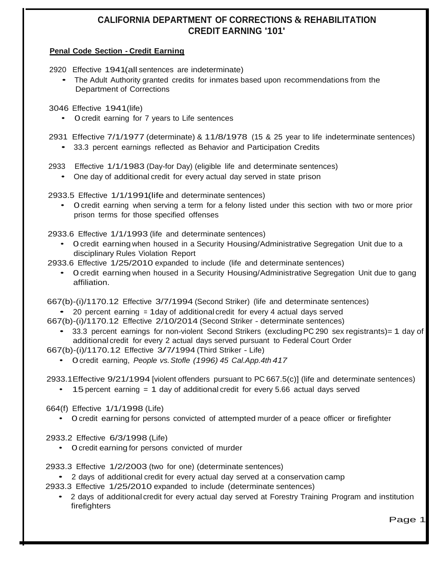# **CALIFORNIA DEPARTMENT OF CORRECTIONS & REHABILITATION CREDIT EARNING '101'**

### **Penal Code Section - Credit Earning**

2920 Effective 1941(all sentences are indeterminate)

• The Adult Authority granted credits for inmates based upon recommendations from the Department of Corrections

3046 Effective 1941(life)

• 0credit earning for 7 years to Life sentences

2931 Effective 7/1/1977 (determinate) & 11/8/1978 (15 & 25 year to life indeterminate sentences)

• 33.3 percent earnings reflected as Behavior and Participation Credits

2933 Effective 1/1/1983 (Day-for Day) (eligible life and determinate sentences)

• One day of additional credit for every actual day served in state prison

2933.5 Effective 1/1/1991(life and determinate sentences)

• 0credit earning when serving a term for a felony listed under this section with two or more prior prison terms for those specified offenses

2933.6 Effective 1/1/1993 (life and determinate sentences)

• 0credit earning when housed in a Security Housing/Administrative Segregation Unit due to a disciplinary Rules Violation Report

2933.6 Effective 1/25/2010 expanded to include (life and determinate sentences)

• 0credit earning when housed in <sup>a</sup> Security Housing/Administrative Segregation Unit due to gang affiliation.

667(b)-(i)/1170.12 Effective 3/7/1994 (Second Striker) (life and determinate sentences)

20 percent earning  $= 1$  day of additional credit for every 4 actual days served

667(b)-(i)/1170.12 Effective 2/10/2014 (Second Striker - determinate sentences)

• 33.3 percent earnings for non-violent Second Strikers (excluding PC 290 sex registrants) = 1 day of additional credit for every 2 actual days served pursuant to Federal Court Order

667(b)-(i)/1170.12 Effective 3/7/1994 (Third Striker - Life)

• 0credit earning, *People vs.Stofle (1996) 45 Cal.App.4th 417*

2933.1Effective 9/21/1994 [violent offenders pursuant to PC 667.5(c)] (life and determinate sentences)

• 15percent earning = 1 day of additional credit for every 5.66 actual days served

664(f) Effective 1/1/1998 (Life)

• 0 credit earning for persons convicted of attempted murder of a peace officer or firefighter

2933.2 Effective 6/3/1998 (Life)

• 0credit earning for persons convicted of murder

2933.3 Effective 1/2/2003 (two for one) (determinate sentences)

• <sup>2</sup> days of additional credit for every actual day served at <sup>a</sup> conservation camp

- 2933.3 Effective 1/25/2010 expanded to include (determinate sentences)
	- <sup>2</sup> days of additional credit for every actual day served at Forestry Training Program and institution firefighters

Page 1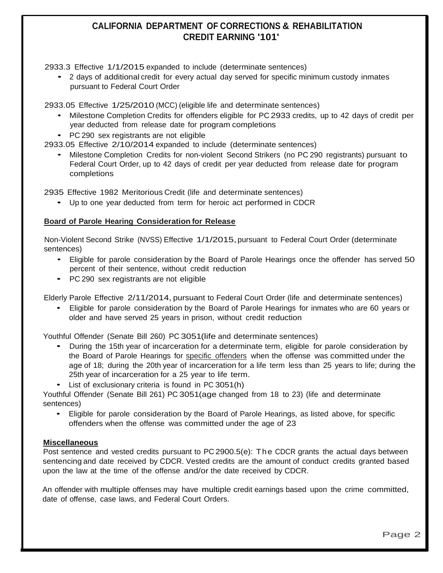## **CALIFORNIA DEPARTMENT OF CORRECTIONS & REHABILITATION CREDIT EARNING '101'**

2933.3 Effective 1/1/2015 expanded to include (determinate sentences)

• <sup>2</sup> days of additional credit for every actual day served for specific minimum custody inmates pursuant to Federal Court Order

2933.05 Effective 1/25/2010 (MCC) (eligible life and determinate sentences)

- Milestone Completion Credits for offenders eligible for PC 2933 credits, up to <sup>42</sup> days of credit per year deducted from release date for program completions
- PC <sup>290</sup> sex registrants are not eligible

2933.05 Effective 2/10/2014 expanded to include (determinate sentences)

• Milestone Completion Credits for non-violent Second Strikers (no PC <sup>290</sup> registrants) pursuant to Federal Court Order, up to 42 days of credit per year deducted from release date for program completions

2935 Effective 1982 Meritorious Credit (life and determinate sentences)

• Up to one year deducted from term for heroic act performed in CDCR

### **Board of Parole Hearing Consideration for Release**

Non-Violent Second Strike (NVSS) Effective 1/1/2015, pursuant to Federal Court Order (determinate sentences)

- Eligible for parole consideration by the Board of Parole Hearings once the offender has served 50 percent of their sentence, without credit reduction
- PC <sup>290</sup> sex registrants are not eligible

Elderly Parole Effective 2/11/2014, pursuant to Federal Court Order (life and determinate sentences)

• Eligible for parole consideration by the Board of Parole Hearings for inmates who are <sup>60</sup> years or older and have served 25 years in prison, without credit reduction

Youthful Offender (Senate Bill 260) PC 3051(life and determinate sentences)

- During the 15th year of incarceration for <sup>a</sup> determinate term, eligible for parole consideration by the Board of Parole Hearings for specific offenders when the offense was committed under the age of 18; during the 20th year of incarceration for a life term less than 25 years to life; during the 25th year of incarceration for a 25 year to life term.
- List of exclusionary criteria is found in PC 3051(h)

Youthful Offender (Senate Bill 261) PC 3051(age changed from 18 to 23) (life and determinate sentences)

• Eligible for parole consideration by the Board of Parole Hearings, as listed above, for specific offenders when the offense was committed under the age of 23

#### **Miscellaneous**

Post sentence and vested credits pursuant to PC 2900.5(e): The CDCR grants the actual days between sentencing and date received by CDCR. Vested credits are the amount of conduct credits granted based upon the law at the time of the offense and/or the date received by CDCR.

An offender with multiple offenses may have multiple credit earnings based upon the crime committed, date of offense, case laws, and Federal Court Orders.